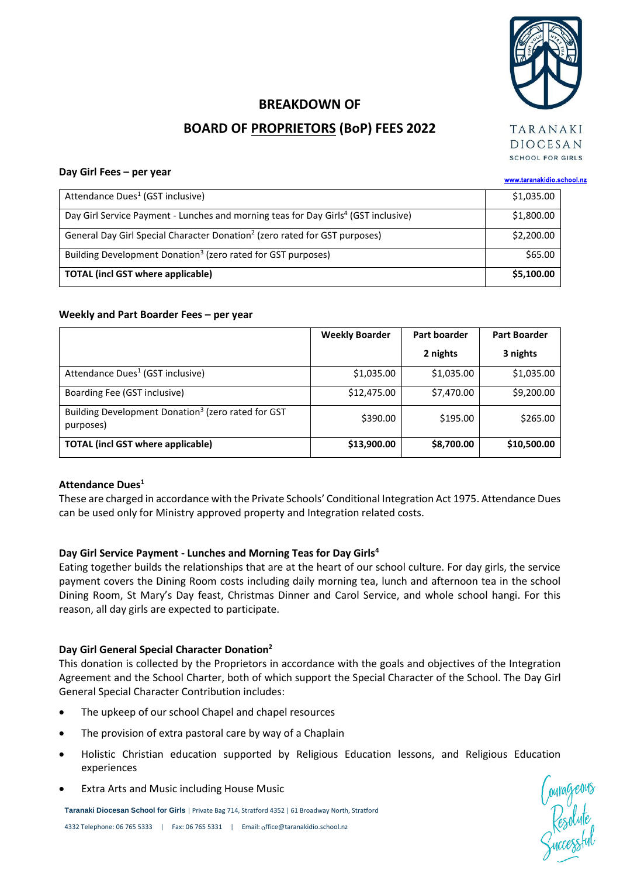

# **BREAKDOWN OF BOARD OF PROPRIETORS (BoP) FEES 2022**

**DIOCESAN** SCHOOL FOR GIRLS

#### **Day Girl Fees – per year**

| Day OIII FEES - PEI YEAI                                                                       | www.taranakidio.school.nz |  |
|------------------------------------------------------------------------------------------------|---------------------------|--|
| Attendance Dues <sup>1</sup> (GST inclusive)                                                   | \$1,035.00                |  |
| Day Girl Service Payment - Lunches and morning teas for Day Girls <sup>4</sup> (GST inclusive) | \$1,800.00                |  |
| General Day Girl Special Character Donation <sup>2</sup> (zero rated for GST purposes)         | \$2,200.00                |  |
| Building Development Donation <sup>3</sup> (zero rated for GST purposes)                       | \$65.00                   |  |
| <b>TOTAL (incl GST where applicable)</b>                                                       | \$5,100.00                |  |

#### **Weekly and Part Boarder Fees – per year**

|                                                                             | <b>Weekly Boarder</b> | Part boarder | <b>Part Boarder</b> |  |
|-----------------------------------------------------------------------------|-----------------------|--------------|---------------------|--|
|                                                                             |                       | 2 nights     | 3 nights            |  |
| Attendance Dues <sup>1</sup> (GST inclusive)                                | \$1,035.00            | \$1,035.00   | \$1,035.00          |  |
| Boarding Fee (GST inclusive)                                                | \$12,475.00           | \$7,470.00   | \$9,200.00          |  |
| Building Development Donation <sup>3</sup> (zero rated for GST<br>purposes) | \$390.00              | \$195.00     | \$265.00            |  |
| <b>TOTAL (incl GST where applicable)</b>                                    | \$13,900.00           | \$8,700.00   | \$10,500.00         |  |

#### **Attendance Dues<sup>1</sup>**

These are charged in accordance with the Private Schools' Conditional Integration Act 1975. Attendance Dues can be used only for Ministry approved property and Integration related costs.

#### **Day Girl Service Payment - Lunches and Morning Teas for Day Girls<sup>4</sup>**

Eating together builds the relationships that are at the heart of our school culture. For day girls, the service payment covers the Dining Room costs including daily morning tea, lunch and afternoon tea in the school Dining Room, St Mary's Day feast, Christmas Dinner and Carol Service, and whole school hangi. For this reason, all day girls are expected to participate.

#### **Day Girl General Special Character Donation<sup>2</sup>**

This donation is collected by the Proprietors in accordance with the goals and objectives of the Integration Agreement and the School Charter, both of which support the Special Character of the School. The Day Girl General Special Character Contribution includes:

- The upkeep of our school Chapel and chapel resources
- The provision of extra pastoral care by way of a Chaplain
- Holistic Christian education supported by Religious Education lessons, and Religious Education experiences
- Extra Arts and Music including House Music

**Taranaki Diocesan School for Girls** | Private Bag 714, Stratford 4352 | 61 Broadway North, Stratford

Courageous<br>Resolute<br>Cuccessful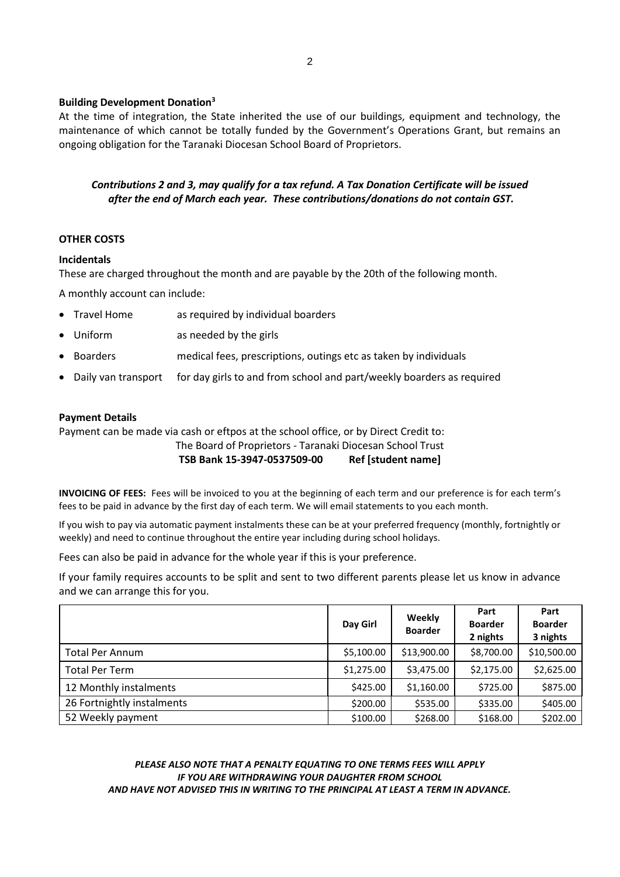#### **Building Development Donation<sup>3</sup>**

At the time of integration, the State inherited the use of our buildings, equipment and technology, the maintenance of which cannot be totally funded by the Government's Operations Grant, but remains an ongoing obligation for the Taranaki Diocesan School Board of Proprietors.

# *Contributions 2 and 3, may qualify for a tax refund. A Tax Donation Certificate will be issued after the end of March each year. These contributions/donations do not contain GST.*

## **OTHER COSTS**

#### **Incidentals**

These are charged throughout the month and are payable by the 20th of the following month.

A monthly account can include:

- Travel Home as required by individual boarders
- Uniform as needed by the girls
- Boarders medical fees, prescriptions, outings etc as taken by individuals
- Daily van transport for day girls to and from school and part/weekly boarders as required

#### **Payment Details**

Payment can be made via cash or eftpos at the school office, or by Direct Credit to:

The Board of Proprietors - Taranaki Diocesan School Trust

**TSB Bank 15-3947-0537509-00 Ref [student name]**

**INVOICING OF FEES:** Fees will be invoiced to you at the beginning of each term and our preference is for each term's fees to be paid in advance by the first day of each term. We will email statements to you each month.

If you wish to pay via automatic payment instalments these can be at your preferred frequency (monthly, fortnightly or weekly) and need to continue throughout the entire year including during school holidays.

Fees can also be paid in advance for the whole year if this is your preference.

If your family requires accounts to be split and sent to two different parents please let us know in advance and we can arrange this for you.

|                            | Day Girl   | Weekly<br><b>Boarder</b> | Part<br><b>Boarder</b><br>2 nights | Part<br><b>Boarder</b><br>3 nights |
|----------------------------|------------|--------------------------|------------------------------------|------------------------------------|
| <b>Total Per Annum</b>     | \$5,100.00 | \$13,900.00              | \$8,700.00                         | \$10,500.00                        |
| <b>Total Per Term</b>      | \$1,275.00 | \$3,475.00               | \$2,175.00                         | \$2,625.00                         |
| 12 Monthly instalments     | \$425.00   | \$1,160.00               | \$725.00                           | \$875.00                           |
| 26 Fortnightly instalments | \$200.00   | \$535.00                 | \$335.00                           | \$405.00                           |
| 52 Weekly payment          | \$100.00   | \$268.00                 | \$168.00                           | \$202.00                           |

### *PLEASE ALSO NOTE THAT A PENALTY EQUATING TO ONE TERMS FEES WILL APPLY IF YOU ARE WITHDRAWING YOUR DAUGHTER FROM SCHOOL AND HAVE NOT ADVISED THIS IN WRITING TO THE PRINCIPAL AT LEAST A TERM IN ADVANCE.*